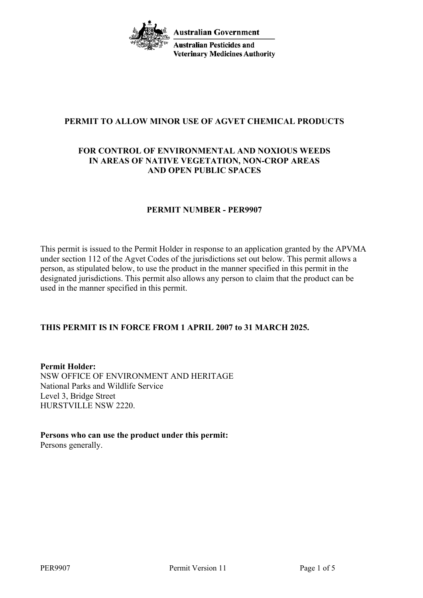

## **PERMIT TO ALLOW MINOR USE OF AGVET CHEMICAL PRODUCTS**

### **FOR CONTROL OF ENVIRONMENTAL AND NOXIOUS WEEDS IN AREAS OF NATIVE VEGETATION, NON-CROP AREAS AND OPEN PUBLIC SPACES**

### **PERMIT NUMBER - PER9907**

This permit is issued to the Permit Holder in response to an application granted by the APVMA under section 112 of the Agvet Codes of the jurisdictions set out below. This permit allows a person, as stipulated below, to use the product in the manner specified in this permit in the designated jurisdictions. This permit also allows any person to claim that the product can be used in the manner specified in this permit.

# **THIS PERMIT IS IN FORCE FROM 1 APRIL 2007 to 31 MARCH 2025.**

**Permit Holder:** NSW OFFICE OF ENVIRONMENT AND HERITAGE National Parks and Wildlife Service Level 3, Bridge Street HURSTVILLE NSW 2220.

**Persons who can use the product under this permit:** Persons generally.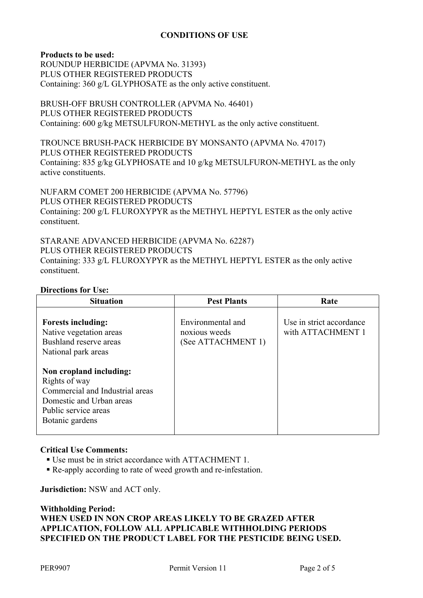# **CONDITIONS OF USE**

### **Products to be used:**

ROUNDUP HERBICIDE (APVMA No. 31393) PLUS OTHER REGISTERED PRODUCTS Containing: 360 g/L GLYPHOSATE as the only active constituent.

## BRUSH-OFF BRUSH CONTROLLER (APVMA No. 46401) PLUS OTHER REGISTERED PRODUCTS Containing: 600 g/kg METSULFURON-METHYL as the only active constituent.

TROUNCE BRUSH-PACK HERBICIDE BY MONSANTO (APVMA No. 47017) PLUS OTHER REGISTERED PRODUCTS Containing: 835 g/kg GLYPHOSATE and 10 g/kg METSULFURON-METHYL as the only active constituents.

NUFARM COMET 200 HERBICIDE (APVMA No. 57796) PLUS OTHER REGISTERED PRODUCTS Containing: 200 g/L FLUROXYPYR as the METHYL HEPTYL ESTER as the only active constituent.

## STARANE ADVANCED HERBICIDE (APVMA No. 62287) PLUS OTHER REGISTERED PRODUCTS Containing: 333 g/L FLUROXYPYR as the METHYL HEPTYL ESTER as the only active constituent.

### **Directions for Use:**

| <b>Situation</b>                                                                                                                                   | <b>Pest Plants</b>                                       | Rate                                          |
|----------------------------------------------------------------------------------------------------------------------------------------------------|----------------------------------------------------------|-----------------------------------------------|
| <b>Forests including:</b><br>Native vegetation areas<br>Bushland reserve areas<br>National park areas                                              | Environmental and<br>noxious weeds<br>(See ATTACHMENT 1) | Use in strict accordance<br>with ATTACHMENT 1 |
| Non cropland including:<br>Rights of way<br>Commercial and Industrial areas<br>Domestic and Urban areas<br>Public service areas<br>Botanic gardens |                                                          |                                               |

### **Critical Use Comments:**

- Use must be in strict accordance with ATTACHMENT 1.
- Re-apply according to rate of weed growth and re-infestation.

**Jurisdiction:** NSW and ACT only.

## **Withholding Period: WHEN USED IN NON CROP AREAS LIKELY TO BE GRAZED AFTER APPLICATION, FOLLOW ALL APPLICABLE WITHHOLDING PERIODS SPECIFIED ON THE PRODUCT LABEL FOR THE PESTICIDE BEING USED.**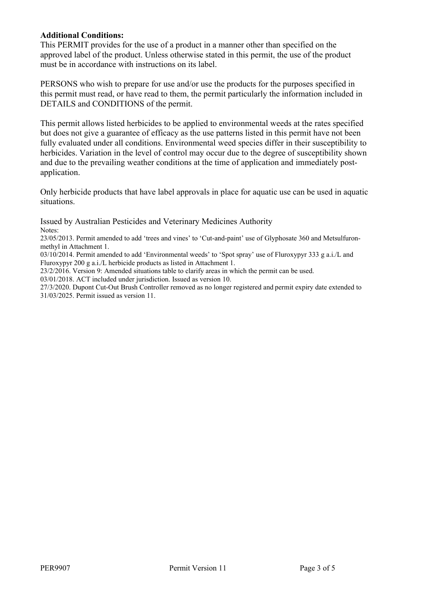## **Additional Conditions:**

This PERMIT provides for the use of a product in a manner other than specified on the approved label of the product. Unless otherwise stated in this permit, the use of the product must be in accordance with instructions on its label.

PERSONS who wish to prepare for use and/or use the products for the purposes specified in this permit must read, or have read to them, the permit particularly the information included in DETAILS and CONDITIONS of the permit.

This permit allows listed herbicides to be applied to environmental weeds at the rates specified but does not give a guarantee of efficacy as the use patterns listed in this permit have not been fully evaluated under all conditions. Environmental weed species differ in their susceptibility to herbicides. Variation in the level of control may occur due to the degree of susceptibility shown and due to the prevailing weather conditions at the time of application and immediately postapplication.

Only herbicide products that have label approvals in place for aquatic use can be used in aquatic situations.

Issued by Australian Pesticides and Veterinary Medicines Authority Notes:

23/05/2013. Permit amended to add 'trees and vines' to 'Cut-and-paint' use of Glyphosate 360 and Metsulfuronmethyl in Attachment 1.

03/10/2014. Permit amended to add 'Environmental weeds' to 'Spot spray' use of Fluroxypyr 333 g a.i./L and Fluroxypyr 200 g a.i./L herbicide products as listed in Attachment 1.

23/2/2016. Version 9: Amended situations table to clarify areas in which the permit can be used.

03/01/2018. ACT included under jurisdiction. Issued as version 10.

27/3/2020. Dupont Cut-Out Brush Controller removed as no longer registered and permit expiry date extended to 31/03/2025. Permit issued as version 11.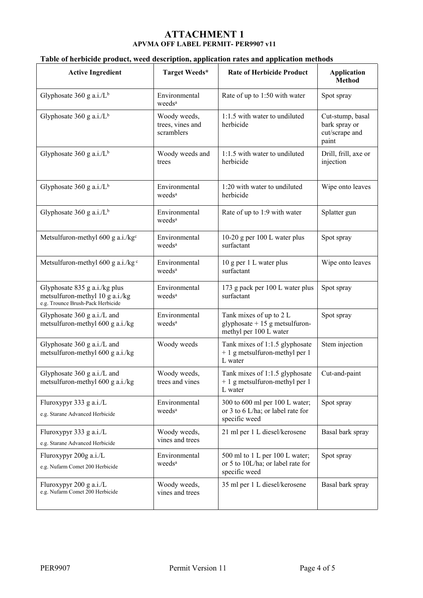# **ATTACHMENT 1 APVMA OFF LABEL PERMIT- PER9907 v11**

### **Table of herbicide product, weed description, application rates and application methods**

| <b>Active Ingredient</b>                                                                              | Target Weeds*                                  | <b>Rate of Herbicide Product</b>                                                     | <b>Application</b><br><b>Method</b>                          |
|-------------------------------------------------------------------------------------------------------|------------------------------------------------|--------------------------------------------------------------------------------------|--------------------------------------------------------------|
| Glyphosate 360 g a.i./ $L^b$                                                                          | Environmental<br>weeds <sup>a</sup>            | Rate of up to 1:50 with water                                                        | Spot spray                                                   |
| Glyphosate 360 g a.i./ $L^b$                                                                          | Woody weeds,<br>trees, vines and<br>scramblers | 1:1.5 with water to undiluted<br>herbicide                                           | Cut-stump, basal<br>bark spray or<br>cut/scrape and<br>paint |
| Glyphosate 360 g a.i./ $L^b$                                                                          | Woody weeds and<br>trees                       | 1:1.5 with water to undiluted<br>herbicide                                           | Drill, frill, axe or<br>injection                            |
| Glyphosate 360 g a.i./ $L^b$                                                                          | Environmental<br>weeds <sup>a</sup>            | 1:20 with water to undiluted<br>herbicide                                            | Wipe onto leaves                                             |
| Glyphosate 360 g a.i./ $L^b$                                                                          | Environmental<br>weeds <sup>a</sup>            | Rate of up to 1:9 with water                                                         | Splatter gun                                                 |
| Metsulfuron-methyl 600 g $a.i./kgc$                                                                   | Environmental<br>weeds <sup>a</sup>            | 10-20 g per 100 L water plus<br>surfactant                                           | Spot spray                                                   |
| Metsulfuron-methyl 600 g a.i./kg $\degree$                                                            | Environmental<br>weeds <sup>a</sup>            | 10 g per 1 L water plus<br>surfactant                                                | Wipe onto leaves                                             |
| Glyphosate 835 g a.i./kg plus<br>metsulfuron-methyl 10 g a.i./kg<br>e.g. Trounce Brush-Pack Herbicide | Environmental<br>weeds <sup>a</sup>            | 173 g pack per 100 L water plus<br>surfactant                                        | Spot spray                                                   |
| Glyphosate 360 g a.i./L and<br>metsulfuron-methyl 600 g a.i./kg                                       | Environmental<br>weeds <sup>a</sup>            | Tank mixes of up to 2 L<br>glyphosate $+15$ g metsulfuron-<br>methyl per 100 L water | Spot spray                                                   |
| Glyphosate 360 g a.i./L and<br>metsulfuron-methyl 600 g a.i./kg                                       | Woody weeds                                    | Tank mixes of 1:1.5 glyphosate<br>+ 1 g metsulfuron-methyl per 1<br>L water          | Stem injection                                               |
| Glyphosate 360 g a.i./L and<br>metsulfuron-methyl 600 g a.i./kg                                       | Woody weeds,<br>trees and vines                | Tank mixes of 1:1.5 glyphosate<br>+ 1 g metsulfuron-methyl per 1<br>L water          | Cut-and-paint                                                |
| Fluroxypyr 333 g a.i./L<br>e.g. Starane Advanced Herbicide                                            | Environmental<br>weeds <sup>a</sup>            | 300 to 600 ml per 100 L water;<br>or 3 to 6 L/ha; or label rate for<br>specific weed | Spot spray                                                   |
| Fluroxypyr 333 g a.i./L<br>e.g. Starane Advanced Herbicide                                            | Woody weeds,<br>vines and trees                | 21 ml per 1 L diesel/kerosene                                                        | Basal bark spray                                             |
| Fluroxypyr 200g a.i./L<br>e.g. Nufarm Comet 200 Herbicide                                             | Environmental<br>weeds <sup>a</sup>            | 500 ml to 1 L per 100 L water;<br>or 5 to 10L/ha; or label rate for<br>specific weed | Spot spray                                                   |
| Fluroxypyr 200 g a.i./L<br>e.g. Nufarm Comet 200 Herbicide                                            | Woody weeds,<br>vines and trees                | 35 ml per 1 L diesel/kerosene                                                        | Basal bark spray                                             |